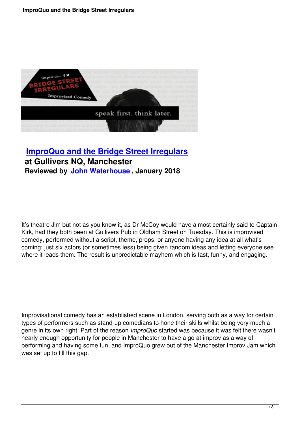

## **ImproQuo and the Bridge Street Irregulars at Gullivers NQ, Manchester [Reviewed by John Waterhouse](improquo-and-the-bridge-street-irregulars.html) , January 2018**

It's theatre Jim but not as you know it, as Dr McCoy would have almost certainly said to Captain Kirk, had they both been at Gullivers Pub in Oldham Street on Tuesday. This is improvised comedy, performed without a script, theme, props, or anyone having any idea at all what's coming; just six actors (or sometimes less) being given random ideas and letting everyone see where it leads them. The result is unpredictable mayhem which is fast, funny, and engaging.

Improvisational comedy has an established scene in London, serving both as a way for certain types of performers such as stand-up comedians to hone their skills whilst being very much a genre in its own right. Part of the reason *ImproQuo* started was because it was felt there wasn't nearly enough opportunity for people in Manchester to have a go at improv as a way of performing and having some fun, and ImproQuo grew out of the Manchester Improv Jam which was set up to fill this gap.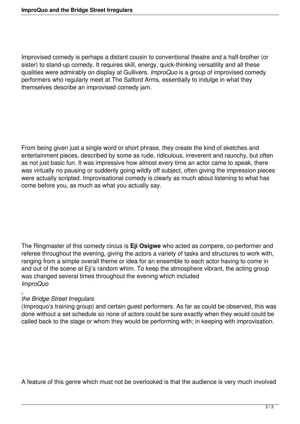Improvised comedy is perhaps a distant cousin to conventional theatre and a half-brother (or sister) to stand-up comedy. It requires skill, energy, quick-thinking versatility and all these qualities were admirably on display at Gullivers. *ImproQuo* is a group of improvised comedy performers who regularly meet at The Salford Arms, essentially to indulge in what they themselves describe an improvised comedy jam.

From being given just a single word or short phrase, they create the kind of sketches and entertainment pieces, described by some as rude, ridiculous, irreverent and raunchy, but often as not just basic fun. It was impressive how almost every time an actor came to speak, there was virtually no pausing or suddenly going wildly off subject, often giving the impression pieces were actually scripted. Improvisational comedy is clearly as much about listening to what has come before you, as much as what you actually say.

The Ringmaster of this comedy circus is **Eji Osigwe** who acted as compere, co-performer and referee throughout the evening, giving the actors a variety of tasks and structures to work with, ranging from a simple overall theme or idea for an ensemble to each actor having to come in and out of the scene at Eji's random whim. To keep the atmosphere vibrant, the acting group was changed several times throughout the evening which included *ImproQuo*

## , *the Bridge Street Irregulars*

(Improquo's training group) and certain guest performers. As far as could be observed, this was done without a set schedule so none of actors could be sure exactly when they would could be called back to the stage or whom they would be performing with; in keeping with improvisation.

A feature of this genre which must not be overlooked is that the audience is very much involved